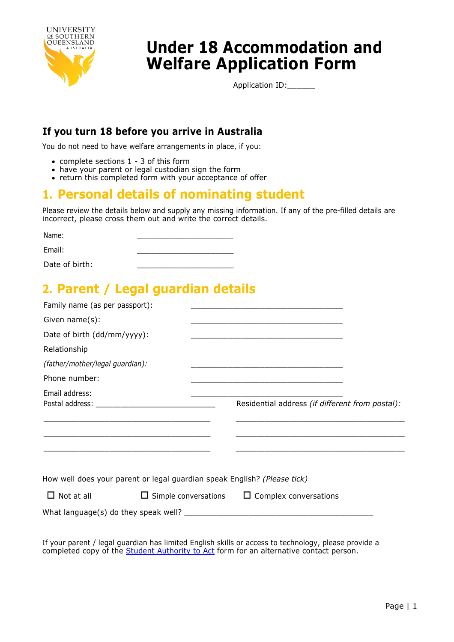

# **Under 18 Accommodation and Welfare Application Form**

Application ID:\_\_\_\_\_\_

### **If you turn 18 before you arrive in Australia**

You do not need to have welfare arrangements in place, if you:

- complete sections 1 3 of this form
- have your parent or legal custodian sign the form
- return this completed form with your acceptance of offer

# **1. Personal details of nominating student**

Please review the details below and supply any missing information. If any of the pre-filled details are incorrect, please cross them out and write the correct details.

Name: Email: Date of birth: \_\_\_\_\_\_\_\_\_\_\_\_\_\_\_\_\_\_\_\_\_ \_\_\_\_\_\_\_\_\_\_\_\_\_\_\_\_\_\_\_\_\_ \_\_\_\_\_\_\_\_\_\_\_\_\_\_\_\_\_\_\_\_\_

# **2. Parent / Legal guardian details**

| Family name (as per passport):                                                                                       |                                                                                           |
|----------------------------------------------------------------------------------------------------------------------|-------------------------------------------------------------------------------------------|
| Given $name(s)$ :                                                                                                    |                                                                                           |
| Date of birth (dd/mm/yyyy):                                                                                          |                                                                                           |
| Relationship                                                                                                         |                                                                                           |
| (father/mother/legal guardian):                                                                                      | the control of the control of the control of the control of the control of the control of |
| Phone number:                                                                                                        |                                                                                           |
| Email address:                                                                                                       | Residential address (if different from postal):                                           |
| <u> 1989 - Johann Barn, amerikan bernama di sebagai bernama dan bernama di sebagai bernama dalam bernama dalam b</u> |                                                                                           |
|                                                                                                                      |                                                                                           |
| How well does your parent or legal guardian speak English? (Please tick)                                             |                                                                                           |
| Not at all<br>$\Box$                                                                                                 | $\Box$ Simple conversations $\Box$ Complex conversations                                  |
|                                                                                                                      |                                                                                           |

If your parent / legal guardian has limited English skills or access to technology, please provide a completed copy of the **Student Authority to Act** form for an alternative contact person.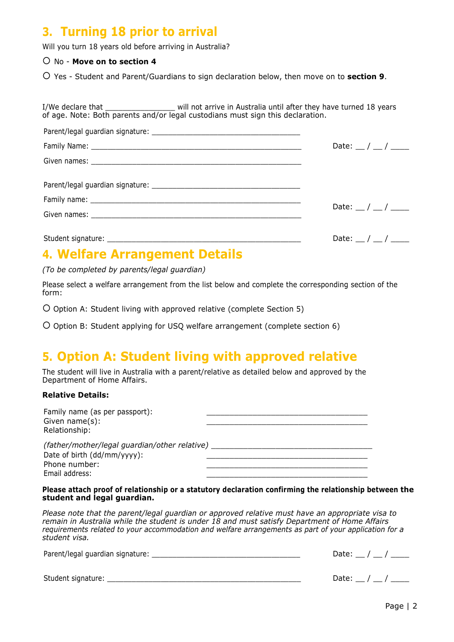### **3. Turning 18 prior to arrival**

Will you turn 18 years old before arriving in Australia?

No - **Move on to section 4**

Yes - Student and Parent/Guardians to sign declaration below, then move on to **section 9**.

I/We declare that The state will not arrive in Australia until after they have turned 18 years of age. Note: Both parents and/or legal custodians must sign this declaration.

| Date: $\frac{1}{2}$ / $\frac{1}{2}$ |
|-------------------------------------|
|                                     |
|                                     |
| Date: $\frac{1}{2}$ / $\frac{1}{2}$ |
|                                     |
| Date: $\frac{1}{2}$ / $\frac{1}{2}$ |

### **4. Welfare Arrangement Details**

*(To be completed by parents/legal guardian)*

Please select a welfare arrangement from the list below and complete the corresponding section of the form:

O Option A: Student living with approved relative (complete Section 5)

O Option B: Student applying for USQ welfare arrangement (complete section 6)

## **5. Option A: Student living with approved relative**

The student will live in Australia with a parent/relative as detailed below and approved by the Department of Home Affairs.

#### **Relative Details:**

| Family name (as per passport):<br>Given name(s):<br>Relationship: |  |
|-------------------------------------------------------------------|--|
| (father/mother/legal guardian/other relative)                     |  |
| Date of birth (dd/mm/yyyy):                                       |  |
| Phone number:                                                     |  |

Phone number: Email address:

**Please attach proof of relationship or a statutory declaration confirming the relationship between the student and legal guardian.**

\_\_\_\_\_\_\_\_\_\_\_\_\_\_\_\_\_\_\_\_\_\_\_\_\_\_\_\_\_\_\_\_\_\_\_

*Please note that the parent/legal guardian or approved relative must have an appropriate visa to remain in Australia while the student is under 18 and must satisfy Department of Home Affairs requirements related to your accommodation and welfare arrangements as part of your application for a student visa.*

| Parent/legal guardian signature: | Date: / / |
|----------------------------------|-----------|
|                                  |           |
| Student signature:               | Date: / / |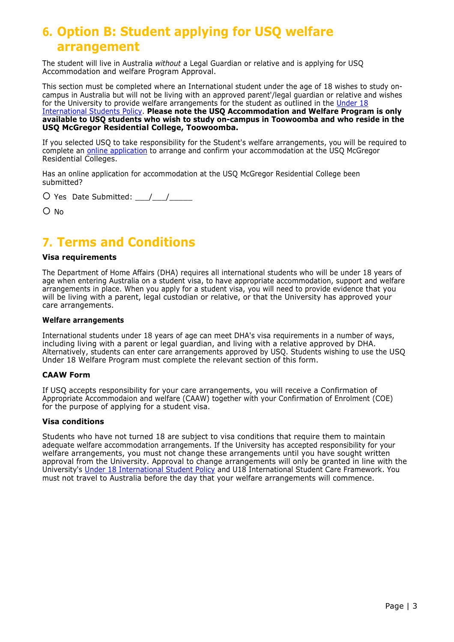# **6. Option B: Student applying for USQ welfare arrangement**

The student will live in Australia *without* a Legal Guardian or relative and is applying for USQ Accommodation and welfare Program Approval.

This section must be completed where an International student under the age of 18 wishes to study oncampus in Australia but will not be living with an approved parent'/legal guardian or relative and [wishes](https://policy.usq.edu.au/documents/13464PL)  [for the University to provide welfare arrangements for the student as outlined in the Under 18](https://policy.usq.edu.au/documents/13464PL) International Students Policy. **[Please note the USQ Accommodation and Welfare Program is only](https://policy.usq.edu.au/documents/13464PL) available to USQ students who wish to study on-campus in Toowoomba and who reside in the USQ McGregor Residential College, Toowoomba.**

If you selected USQ to take responsibility for the Student's welfare arrangements, you will be required to complete an **online application** to arrange and confirm your accommodation at the USQ McGregor Residential Colleges.

Has an online application for accommodation at the USQ McGregor Residential College been submitted?

 $\overline{O}$  Yes Date Submitted:  $\overline{O}$  /

O No

### **7. Terms and Conditions**

#### **Visa requirements**

The Department of Home Affairs (DHA) requires all international students who will be under 18 years of age when entering Australia on a student visa, to have appropriate accommodation, support and welfare arrangements in place. When you apply for a student visa, you will need to provide evidence that you will be living with a parent, legal custodian or relative, or that the University has approved your care arrangements.

#### **Welfare arrangements**

International students under 18 years of age can meet DHA's visa requirements in a number of ways, including living with a parent or legal guardian, and living with a relative approved by DHA. Alternatively, students can enter care arrangements approved by USQ. Students wishing to use the USQ Under 18 Welfare Program must complete the relevant section of this form.

#### **CAAW Form**

If USQ accepts responsibility for your care arrangements, you will receive a Confirmation of Appropriate Accommodaion and welfare (CAAW) together with your Confirmation of Enrolment (COE) for the purpose of applying for a student visa.

#### **Visa conditions**

Students who have not turned 18 are subject to visa conditions that require them to maintain adequate welfare accommodation arrangements. If the University has accepted responsibility for your welfare arrangements, you must not change these arrangements until you have sought written approval from the University. Approval to change arrangements will only be granted in line with the University's [Under 18 International Student Policy](https://policy.usq.edu.au/documents/13464PL) and U18 International Student Care Framework. You must not travel to Australia before the day that your welfare arrangements will commence.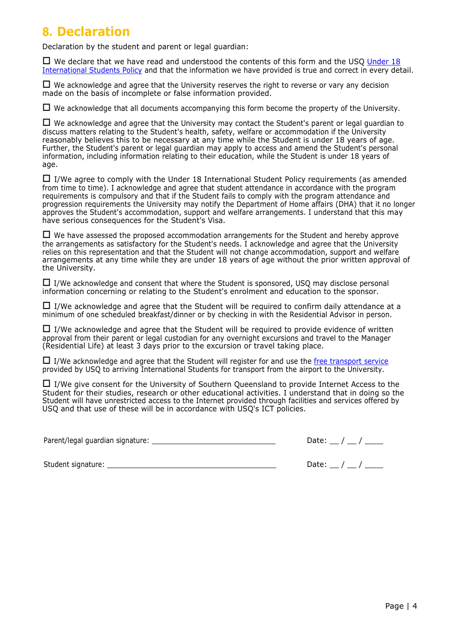### **8. Declaration**

Declaration by the student and parent or legal guardian:

 $\Box$  We declare that we have read and [understood](https://policy.usq.edu.au/documents/13464PL) the contents of this form and the USO Under 18 International Students Policy and that [the information we](https://policy.usq.edu.au/documents/13464PL) have provided is true and correct in every detail.

 $\Box$  We acknowledge and agree that the University reserves the right to reverse or vary any decision made on the basis of incomplete or false information provided.

 $\Box$  We acknowledge that all documents accompanying this form become the property of the University.

 $\Box$  We acknowledge and agree that the University may contact the Student's parent or legal guardian to discuss matters relating to the Student's health, safety, welfare or accommodation if the University reasonably believes this to be necessary at any time while the Student is under 18 years of age. Further, the Student's parent or legal guardian may apply to access and amend the Student's personal information, including information relating to their education, while the Student is under 18 years of age.

 $\Box$  I/We agree to comply with the Under 18 International Student Policy requirements (as amended from time to time). I acknowledge and agree that student attendance in accordance with the program requirements is compulsory and that if the Student fails to comply with the program attendance and progression requirements the University may notify the Department of Home affairs (DHA) that it no longer approves the Student's accommodation, support and welfare arrangements. I understand that this may have serious consequences for the Student's Visa.

 $\Box$  We have assessed the proposed accommodation arrangements for the Student and hereby approve the arrangements as satisfactory for the Student's needs. I acknowledge and agree that the University relies on this representation and that the Student will not change accommodation, support and welfare arrangements at any time while they are under 18 years of age without the prior written approval of the University.

 $\Box$  I/We acknowledge and consent that where the Student is sponsored, USQ may disclose personal information concerning or relating to the Student's enrolment and education to the sponsor.

 $\Box$  I/We acknowledge and agree that the Student will be required to confirm daily attendance at a minimum of one scheduled breakfast/dinner or by checking in with the Residential Advisor in person.

 $\Box$  I/We acknowledge and agree that the Student will be required to provide evidence of written approval from their parent or legal custodian for any overnight excursions and travel to the Manager (Residential Life) at least 3 days prior to the excursion or travel taking place.

 $\Box$  I/We acknowledge and agree that the Student will register for and use the free [transport](https://www.usq.edu.au/study/international/living-studying-in-australia/airport-pick-up) service provided by USQ to arriving International Students for transport from the airport to the University.

 $\Box$  I/We give consent for the University of Southern Queensland to provide Internet Access to the Student for their studies, research or other educational activities. I understand that in doing so the Student will have unrestricted access to the Internet provided through facilities and services offered by USQ and that use of these will be in accordance with USQ's ICT policies.

Parent/legal guardian signature: **Example 2018** 

| Dafe: |  |
|-------|--|
|-------|--|

Student signature:  $\Box$